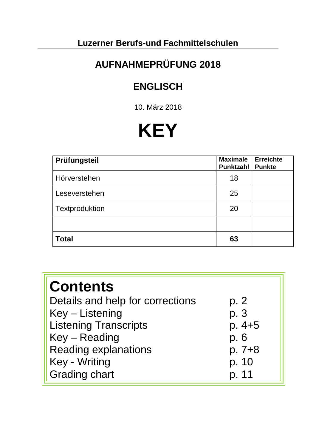# **AUFNAHMEPRÜFUNG 2018**

# **ENGLISCH**

10. März 2018

# **KEY**

| Prüfungsteil   | <b>Maximale</b><br><b>Punktzahl</b> | <b>Erreichte</b><br><b>Punkte</b> |
|----------------|-------------------------------------|-----------------------------------|
| Hörverstehen   | 18                                  |                                   |
| Leseverstehen  | 25                                  |                                   |
| Textproduktion | 20                                  |                                   |
|                |                                     |                                   |
| <b>Total</b>   | 63                                  |                                   |

| <b>Contents</b>                  |         |
|----------------------------------|---------|
| Details and help for corrections | p. 2    |
| Key - Listening                  | p. 3    |
| <b>Listening Transcripts</b>     | p. 4+5  |
| Key - Reading                    | p. 6    |
| <b>Reading explanations</b>      | $p.7+8$ |
| Key - Writing                    | p. 10   |
| <b>Grading chart</b>             | p. 11   |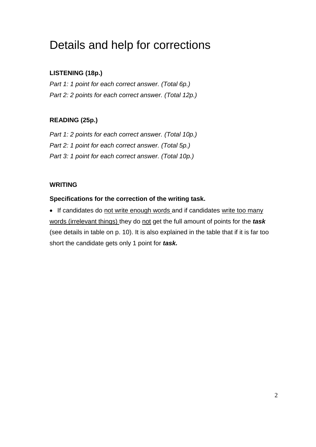# Details and help for corrections

## **LISTENING (18p.)**

*Part 1: 1 point for each correct answer. (Total 6p.) Part 2: 2 points for each correct answer. (Total 12p.)*

## **READING (25p.)**

*Part 1: 2 points for each correct answer. (Total 10p.) Part 2: 1 point for each correct answer. (Total 5p.) Part 3: 1 point for each correct answer. (Total 10p.)*

## **WRITING**

## **Specifications for the correction of the writing task.**

• If candidates do not write enough words and if candidates write too many words (irrelevant things) they do not get the full amount of points for the *task*  (see details in table on p. 10). It is also explained in the table that if it is far too short the candidate gets only 1 point for *task.*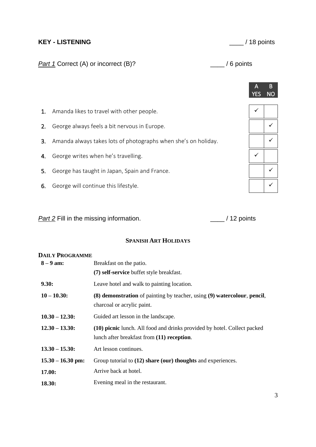## **KEY - LISTENING** \_\_\_\_ / 18 points

## *Part 1* Correct (A) or incorrect (B)? \_\_\_\_\_\_\_\_ / 6 points

|    |                                                                | А<br>YES | B<br>ΝO |
|----|----------------------------------------------------------------|----------|---------|
|    | 1. Amanda likes to travel with other people.                   |          |         |
|    | 2. George always feels a bit nervous in Europe.                |          |         |
| 3. | Amanda always takes lots of photographs when she's on holiday. |          |         |
| 4. | George writes when he's travelling.                            |          |         |
| 5. | George has taught in Japan, Spain and France.                  |          |         |
|    | 6. George will continue this lifestyle.                        |          |         |

*Part 2* Fill in the missing information. \_\_\_\_ / 12 points

**SPANISH ART HOLIDAYS**

#### **DAILY PROGRAMME**

| DAIL I I NUUNAMINIL |                                                                          |  |  |  |  |  |  |  |
|---------------------|--------------------------------------------------------------------------|--|--|--|--|--|--|--|
| $8 - 9$ am:         | Breakfast on the patio.                                                  |  |  |  |  |  |  |  |
|                     | (7) self-service buffet style breakfast.                                 |  |  |  |  |  |  |  |
| 9.30:               | Leave hotel and walk to painting location.                               |  |  |  |  |  |  |  |
| $10 - 10.30$ :      | (8) demonstration of painting by teacher, using (9) watercolour, pencil, |  |  |  |  |  |  |  |
|                     | charcoal or acrylic paint.                                               |  |  |  |  |  |  |  |
| $10.30 - 12.30$ :   | Guided art lesson in the landscape.                                      |  |  |  |  |  |  |  |
| $12.30 - 13.30:$    | (10) picnic lunch. All food and drinks provided by hotel. Collect packed |  |  |  |  |  |  |  |
|                     | lunch after breakfast from (11) reception.                               |  |  |  |  |  |  |  |
| $13.30 - 15.30$ :   | Art lesson continues.                                                    |  |  |  |  |  |  |  |
| $15.30 - 16.30$ pm: | Group tutorial to (12) share (our) thoughts and experiences.             |  |  |  |  |  |  |  |
| <b>17.00:</b>       | Arrive back at hotel.                                                    |  |  |  |  |  |  |  |
| 18.30:              | Evening meal in the restaurant.                                          |  |  |  |  |  |  |  |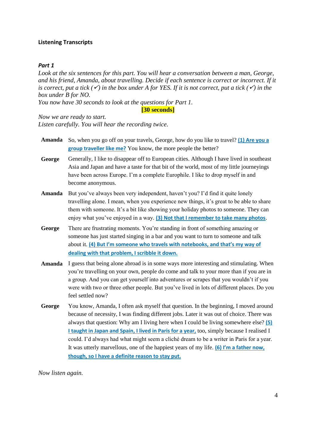### **Listening Transcripts**

#### *Part 1*

*Look at the six sentences for this part. You will hear a conversation between a man, George, and his friend, Amanda, about travelling. Decide if each sentence is correct or incorrect. If it is correct, put a tick (* $\checkmark$ ) *in the box under A for YES. If it is not correct, put a tick (* $\checkmark$ *) in the box under B for NO.*

*You now have 30 seconds to look at the questions for Part 1.*

**[30 seconds]**

*Now we are ready to start. Listen carefully. You will hear the recording twice.*

- **Amanda** So, when you go off on your travels, George, how do you like to travel? **(1) Are you a group traveller like me?** You know, the more people the better?
- George Generally, I like to disappear off to European cities. Although I have lived in southeast Asia and Japan and have a taste for that bit of the world, most of my little journeyings have been across Europe. I'm a complete Europhile. I like to drop myself in and become anonymous.
- **Amanda** But you've always been very independent, haven't you? I'd find it quite lonely travelling alone. I mean, when you experience new things, it's great to be able to share them with someone. It's a bit like showing your holiday photos to someone. They can enjoy what you've enjoyed in a way. **(3) Not that I remember to take many photos**.
- **George** There are frustrating moments. You're standing in front of something amazing or someone has just started singing in a bar and you want to turn to someone and talk about it. **(4) But I'm someone who travels with notebooks, and that's my way of dealing with that problem, I scribble it down.**
- **Amanda** I guess that being alone abroad is in some ways more interesting and stimulating. When you're travelling on your own, people do come and talk to your more than if you are in a group. And you can get yourself into adventures or scrapes that you wouldn't if you were with two or three other people. But you've lived in lots of different places. Do you feel settled now?
- **George** You know, Amanda, I often ask myself that question. In the beginning, I moved around because of necessity, I was finding different jobs. Later it was out of choice. There was always that question: Why am I living here when I could be living somewhere else? **(5) I taught in Japan and Spain, I lived in Paris for a year,** too, simply because I realised I could. I'd always had what might seem a cliché dream to be a writer in Paris for a year. It was utterly marvellous, one of the happiest years of my life. **(6) I'm a father now, though, so I have a definite reason to stay put.**

*Now listen again.*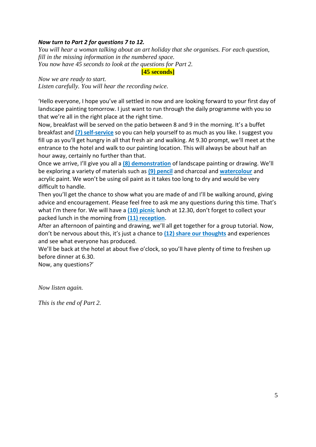## *Now turn to Part 2 for questions 7 to 12.*

*You will hear a woman talking about an art holiday that she organises. For each question, fill in the missing information in the numbered space. You now have 45 seconds to look at the questions for Part 2.*

**[45 seconds]**

*Now we are ready to start. Listen carefully. You will hear the recording twice.*

'Hello everyone, I hope you've all settled in now and are looking forward to your first day of landscape painting tomorrow. I just want to run through the daily programme with you so that we're all in the right place at the right time.

Now, breakfast will be served on the patio between 8 and 9 in the morning. It's a buffet breakfast and **(7) self-service** so you can help yourself to as much as you like. I suggest you fill up as you'll get hungry in all that fresh air and walking. At 9.30 prompt, we'll meet at the entrance to the hotel and walk to our painting location. This will always be about half an hour away, certainly no further than that.

Once we arrive, I'll give you all a **(8) demonstration** of landscape painting or drawing. We'll be exploring a variety of materials such as **(9) pencil** and charcoal and **watercolour** and acrylic paint. We won't be using oil paint as it takes too long to dry and would be very difficult to handle.

Then you'll get the chance to show what you are made of and I'll be walking around, giving advice and encouragement. Please feel free to ask me any questions during this time. That's what I'm there for. We will have a (10) picnic lunch at 12.30, don't forget to collect your packed lunch in the morning from **(11) reception**.

After an afternoon of painting and drawing, we'll all get together for a group tutorial. Now, don't be nervous about this, it's just a chance to **(12) share our thoughts** and experiences and see what everyone has produced.

We'll be back at the hotel at about five o'clock, so you'll have plenty of time to freshen up before dinner at 6.30.

Now, any questions?'

*Now listen again.*

*This is the end of Part 2.*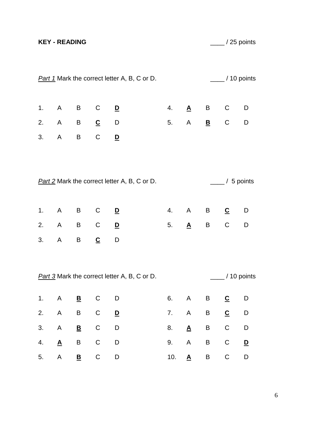**KEY - READING** \_\_\_\_ / 25 points

*Part 1* Mark the correct letter A, B, C or D. \_\_\_\_ / 10 points 1. A B C **D** 2. A B **C** D 3. A B C **D** 4. **A** B C D 5. A **B** C D *Part 2* Mark the correct letter A, B, C or D. \_\_\_\_ / 5 points 1. A B C **D** 2. A B C **D** 3. A B **C** D 4. A B **C** D 5. **A** B C D *Part 3* Mark the correct letter A, B, C or D. \_\_\_\_ / 10 points 1. A **B** C D 2. A B C **D** 3. A **B** C D 4. **A** B C D 5. A **B** C D 6. A B **C** D 7. A B **C** D 8. **A** B C D 9. A B C **D** 10. **A** B C D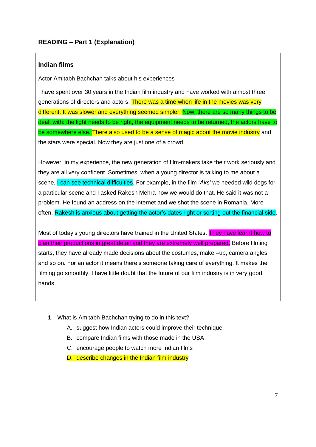## **Indian films**

Actor Amitabh Bachchan talks about his experiences

I have spent over 30 years in the Indian film industry and have worked with almost three generations of directors and actors. There was a time when life in the movies was very different. It was slower and everything seemed simpler. Now, there are so many things to be dealt with: the light needs to be right, the equipment needs to be returned, the actors have to be somewhere else. There also used to be a sense of magic about the movie industry and the stars were special. Now they are just one of a crowd.

However, in my experience, the new generation of film-makers take their work seriously and they are all very confident. Sometimes, when a young director is talking to me about a scene, I can see technical difficulties. For example, in the film '*Aks'* we needed wild dogs for a particular scene and I asked Rakesh Mehra how we would do that. He said it was not a problem. He found an address on the internet and we shot the scene in Romania. More often, Rakesh is anxious about getting the actor's dates right or sorting out the financial side.

Most of today's young directors have trained in the United States. They have learnt how to plan their productions in great detail and they are extremely well prepared. Before filming starts, they have already made decisions about the costumes, make –up, camera angles and so on. For an actor it means there's someone taking care of everything. It makes the filming go smoothly. I have little doubt that the future of our film industry is in very good hands.

- 1. What is Amitabh Bachchan trying to do in this text?
	- A. suggest how Indian actors could improve their technique.
	- B. compare Indian films with those made in the USA
	- C. encourage people to watch more Indian films
	- D. describe changes in the Indian film industry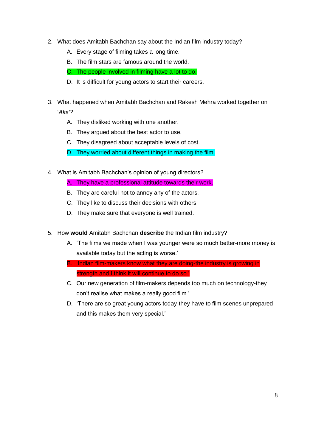- 2. What does Amitabh Bachchan say about the Indian film industry today?
	- A. Every stage of filming takes a long time.
	- B. The film stars are famous around the world.
	- C. The people involved in filming have a lot to do.
	- D. It is difficult for young actors to start their careers.
- 3. What happened when Amitabh Bachchan and Rakesh Mehra worked together on '*Aks'?*
	- A. They disliked working with one another.
	- B. They argued about the best actor to use.
	- C. They disagreed about acceptable levels of cost.
	- D. They worried about different things in making the film.
- 4. What is Amitabh Bachchan's opinion of young directors?
	- A. They have a professional attitude towards their work.
	- B. They are careful not to annoy any of the actors.
	- C. They like to discuss their decisions with others.
	- D. They make sure that everyone is well trained.
- 5. How **would** Amitabh Bachchan **describe** the Indian film industry?
	- A. 'The films we made when I was younger were so much better-more money is available today but the acting is worse.'
	- B. 'Indian film-makers know what they are doing-the industry is growing in strength and I think it will continue to do so.'
	- C. Our new generation of film-makers depends too much on technology-they don't realise what makes a really good film.'
	- D. 'There are so great young actors today-they have to film scenes unprepared and this makes them very special.'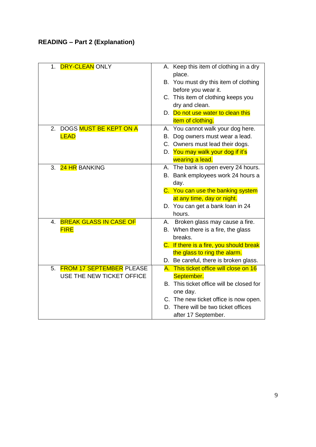| <b>DRY-CLEAN ONLY</b><br>1.           | A. Keep this item of clothing in a dry<br>place. |
|---------------------------------------|--------------------------------------------------|
|                                       | B. You must dry this item of clothing            |
|                                       | before you wear it.                              |
|                                       | C. This item of clothing keeps you               |
|                                       | dry and clean.                                   |
|                                       | D. Do not use water to clean this                |
|                                       | item of clothing.                                |
| DOGS MUST BE KEPT ON A<br>2.          | A. You cannot walk your dog here.                |
| <b>LEAD</b>                           | B. Dog owners must wear a lead.                  |
|                                       | C. Owners must lead their dogs.                  |
|                                       | D. You may walk your dog if it's                 |
|                                       | wearing a lead.                                  |
| 3.<br>24 HR BANKING                   | A. The bank is open every 24 hours.              |
|                                       | B. Bank employees work 24 hours a                |
|                                       | day.                                             |
|                                       | C. You can use the banking system                |
|                                       | at any time, day or night.                       |
|                                       | D. You can get a bank loan in 24                 |
|                                       | hours.                                           |
| <b>BREAK GLASS IN CASE OF</b><br>4.   | A. Broken glass may cause a fire.                |
| <b>FIRE</b>                           | B. When there is a fire, the glass               |
|                                       | breaks.                                          |
|                                       | C. If there is a fire, you should break          |
|                                       | the glass to ring the alarm.                     |
|                                       | D. Be careful, there is broken glass.            |
| <b>FROM 17 SEPTEMBER PLEASE</b><br>5. | A. This ticket office will close on 16           |
| USE THE NEW TICKET OFFICE             | September.                                       |
|                                       | B. This ticket office will be closed for         |
|                                       | one day.                                         |
|                                       | C. The new ticket office is now open.            |
|                                       | D. There will be two ticket offices              |
|                                       | after 17 September.                              |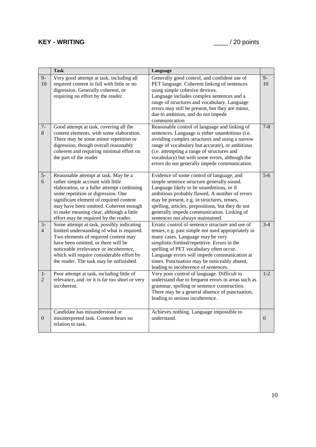## **KEY - WRITING** \_\_\_\_ / 20 points

|                        | <b>Task</b>                                                                                                                                                                                                                                                                                                                             | Language                                                                                                                                                                                                                                                                                                                                                                      |                  |
|------------------------|-----------------------------------------------------------------------------------------------------------------------------------------------------------------------------------------------------------------------------------------------------------------------------------------------------------------------------------------|-------------------------------------------------------------------------------------------------------------------------------------------------------------------------------------------------------------------------------------------------------------------------------------------------------------------------------------------------------------------------------|------------------|
| $9-$<br>10             | Very good attempt at task, including all<br>required content in full with little or no<br>digression. Generally coherent, or<br>requiring no effort by the reader.                                                                                                                                                                      | Generally good control, and confident use of<br>PET language. Coherent linking of sentences<br>using simple cohesive devices.<br>Language includes complex sentences and a<br>range of structures and vocabulary. Language<br>errors may still be present, but they are minor,<br>due to ambition, and do not impede<br>communication                                         | $9-$<br>10       |
| $7-$<br>8              | Good attempt at task, covering all the<br>content elements, with some elaboration.<br>There may be some minor repetition or<br>digression, though overall reasonably<br>coherent and requiring minimal effort on<br>the part of the reader                                                                                              | Reasonable control of language and linking of<br>sentences. Language is either unambitious (i.e.<br>avoiding complex structures and using a narrow<br>range of vocabulary but accurate), or ambitious<br>(i.e. attempting a range of structures and<br>vocabulary) but with some errors, although the<br>errors do not generally impede communication.                        | $7 - 8$          |
| $5-$<br>6              | Reasonable attempt at task. May be a<br>rather simple account with little<br>elaboration, or a fuller attempt combining<br>some repetition or digression. One<br>significant element of required content<br>may have been omitted. Coherent enough<br>to make meaning clear, although a little<br>effort may be required by the reader. | Evidence of some control of language, and<br>simple sentence structure generally sound.<br>Language likely to be unambitious, or if<br>ambitious probably flawed. A number of errors<br>may be present, e.g. in structures, tenses,<br>spelling, articles, prepositions, but they do not<br>generally impede communication. Linking of<br>sentences not always maintained.    | $5 - 6$          |
| $3-$<br>$\overline{4}$ | Some attempt at task, possibly indicating<br>limited understanding of what is required.<br>Two elements of required content may<br>have been omitted, or there will be<br>noticeable irrelevance or incoherence,<br>which will require considerable effort by<br>the reader. The task may be unfinished.                                | Erratic control of sentence structure and use of<br>tenses, e.g. past simple not used appropriately in<br>many cases. Language may be very<br>simplistic/limited/repetitive. Errors in the<br>spelling of PET vocabulary often occur.<br>Language errors will impede communication at<br>times. Punctuation may be noticeably absent,<br>leading to incoherence of sentences. | $3-4$            |
| $1-$<br>$\overline{2}$ | Poor attempt at task, including little of<br>relevance, and /or it is far too short or very<br>incoherent.                                                                                                                                                                                                                              | Very poor control of language. Difficult to<br>understand due to frequent errors in areas such as<br>grammar, spelling or sentence construction.<br>There may be a general absence of punctuation,<br>leading to serious incoherence.                                                                                                                                         | $1 - 2$          |
| $\boldsymbol{0}$       | Candidate has misunderstood or<br>misinterpreted task. Content bears no<br>relation to task.                                                                                                                                                                                                                                            | Achieves nothing. Language impossible to<br>understand.                                                                                                                                                                                                                                                                                                                       | $\boldsymbol{0}$ |